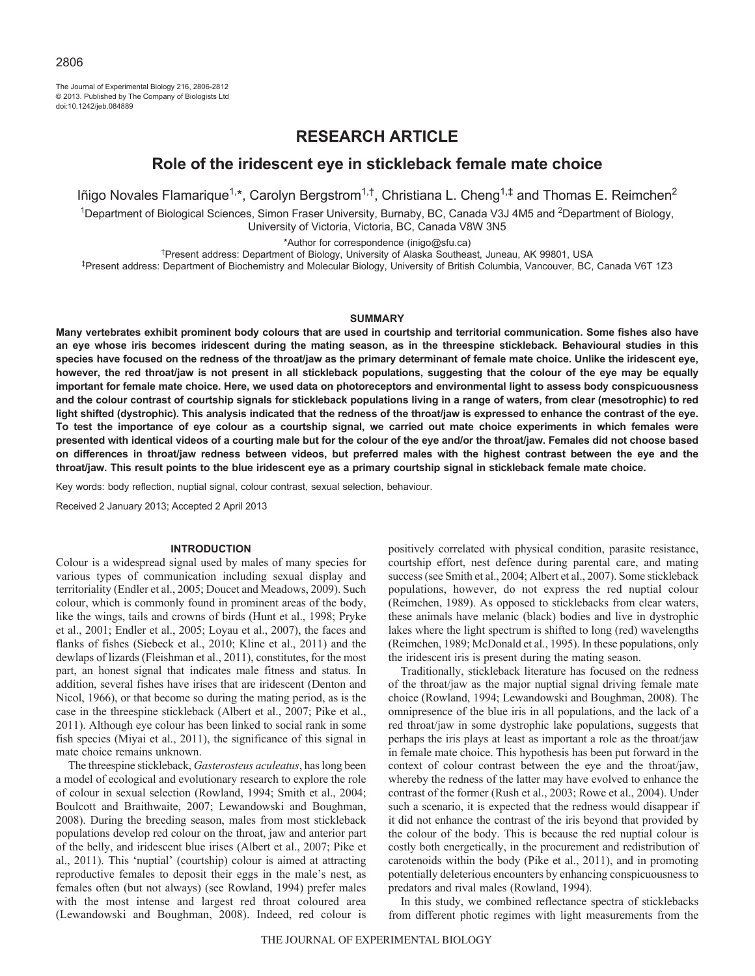The Journal of Experimental Biology 216, 2806-2812 © 2013. Published by The Company of Biologists Ltd doi:10.1242/jeb.084889

# **RESEARCH ARTICLE**

# **Role of the iridescent eye in stickleback female mate choice**

Iñigo Novales Flamarique<sup>1,\*</sup>, Carolyn Bergstrom<sup>1,†</sup>, Christiana L. Cheng<sup>1,‡</sup> and Thomas E. Reimchen<sup>2</sup>

<sup>1</sup>Department of Biological Sciences, Simon Fraser University, Burnaby, BC, Canada V3J 4M5 and <sup>2</sup>Department of Biology, University of Victoria, Victoria, BC, Canada V8W 3N5

\*Author for correspondence (inigo@sfu.ca)

†Present address: Department of Biology, University of Alaska Southeast, Juneau, AK 99801, USA

‡Present address: Department of Biochemistry and Molecular Biology, University of British Columbia, Vancouver, BC, Canada V6T 1Z3

### **SUMMARY**

**Many vertebrates exhibit prominent body colours that are used in courtship and territorial communication. Some fishes also have an eye whose iris becomes iridescent during the mating season, as in the threespine stickleback. Behavioural studies in this species have focused on the redness of the throat/jaw as the primary determinant of female mate choice. Unlike the iridescent eye, however, the red throat/jaw is not present in all stickleback populations, suggesting that the colour of the eye may be equally important for female mate choice. Here, we used data on photoreceptors and environmental light to assess body conspicuousness and the colour contrast of courtship signals for stickleback populations living in a range of waters, from clear (mesotrophic) to red light shifted (dystrophic). This analysis indicated that the redness of the throat/jaw is expressed to enhance the contrast of the eye. To test the importance of eye colour as a courtship signal, we carried out mate choice experiments in which females were presented with identical videos of a courting male but for the colour of the eye and/or the throat/jaw. Females did not choose based on differences in throat/jaw redness between videos, but preferred males with the highest contrast between the eye and the throat/jaw. This result points to the blue iridescent eye as a primary courtship signal in stickleback female mate choice.**

Key words: body reflection, nuptial signal, colour contrast, sexual selection, behaviour.

Received 2 January 2013; Accepted 2 April 2013

### **INTRODUCTION**

Colour is a widespread signal used by males of many species for various types of communication including sexual display and territoriality (Endler et al., 2005; Doucet and Meadows, 2009). Such colour, which is commonly found in prominent areas of the body, like the wings, tails and crowns of birds (Hunt et al., 1998; Pryke et al., 2001; Endler et al., 2005; Loyau et al., 2007), the faces and flanks of fishes (Siebeck et al., 2010; Kline et al., 2011) and the dewlaps of lizards (Fleishman et al., 2011), constitutes, for the most part, an honest signal that indicates male fitness and status. In addition, several fishes have irises that are iridescent (Denton and Nicol, 1966), or that become so during the mating period, as is the case in the threespine stickleback (Albert et al., 2007; Pike et al., 2011). Although eye colour has been linked to social rank in some fish species (Miyai et al., 2011), the significance of this signal in mate choice remains unknown.

The threespine stickleback, *Gasterosteus aculeatus*, has long been a model of ecological and evolutionary research to explore the role of colour in sexual selection (Rowland, 1994; Smith et al., 2004; Boulcott and Braithwaite, 2007; Lewandowski and Boughman, 2008). During the breeding season, males from most stickleback populations develop red colour on the throat, jaw and anterior part of the belly, and iridescent blue irises (Albert et al., 2007; Pike et al., 2011). This 'nuptial' (courtship) colour is aimed at attracting reproductive females to deposit their eggs in the male's nest, as females often (but not always) (see Rowland, 1994) prefer males with the most intense and largest red throat coloured area (Lewandowski and Boughman, 2008). Indeed, red colour is positively correlated with physical condition, parasite resistance, courtship effort, nest defence during parental care, and mating success (see Smith et al., 2004; Albert et al., 2007). Some stickleback populations, however, do not express the red nuptial colour (Reimchen, 1989). As opposed to sticklebacks from clear waters, these animals have melanic (black) bodies and live in dystrophic lakes where the light spectrum is shifted to long (red) wavelengths (Reimchen, 1989; McDonald et al., 1995). In these populations, only the iridescent iris is present during the mating season.

Traditionally, stickleback literature has focused on the redness of the throat/jaw as the major nuptial signal driving female mate choice (Rowland, 1994; Lewandowski and Boughman, 2008). The omnipresence of the blue iris in all populations, and the lack of a red throat/jaw in some dystrophic lake populations, suggests that perhaps the iris plays at least as important a role as the throat/jaw in female mate choice. This hypothesis has been put forward in the context of colour contrast between the eye and the throat/jaw, whereby the redness of the latter may have evolved to enhance the contrast of the former (Rush et al., 2003; Rowe et al., 2004). Under such a scenario, it is expected that the redness would disappear if it did not enhance the contrast of the iris beyond that provided by the colour of the body. This is because the red nuptial colour is costly both energetically, in the procurement and redistribution of carotenoids within the body (Pike et al., 2011), and in promoting potentially deleterious encounters by enhancing conspicuousness to predators and rival males (Rowland, 1994).

In this study, we combined reflectance spectra of sticklebacks from different photic regimes with light measurements from the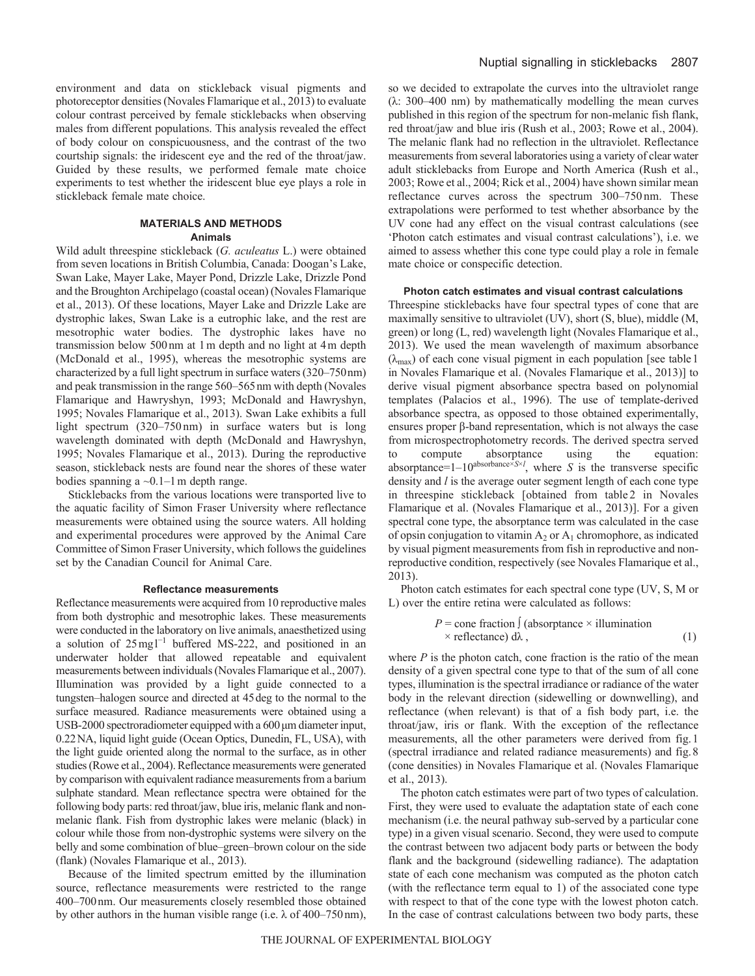environment and data on stickleback visual pigments and photoreceptor densities (Novales Flamarique et al., 2013) to evaluate colour contrast perceived by female sticklebacks when observing males from different populations. This analysis revealed the effect of body colour on conspicuousness, and the contrast of the two courtship signals: the iridescent eye and the red of the throat/jaw. Guided by these results, we performed female mate choice experiments to test whether the iridescent blue eye plays a role in stickleback female mate choice.

# **MATERIALS AND METHODS Animals**

Wild adult threespine stickleback (*G. aculeatus* L.) were obtained from seven locations in British Columbia, Canada: Doogan's Lake, Swan Lake, Mayer Lake, Mayer Pond, Drizzle Lake, Drizzle Pond and the Broughton Archipelago (coastal ocean) (Novales Flamarique et al., 2013). Of these locations, Mayer Lake and Drizzle Lake are dystrophic lakes, Swan Lake is a eutrophic lake, and the rest are mesotrophic water bodies. The dystrophic lakes have no transmission below 500nm at 1m depth and no light at 4m depth (McDonald et al., 1995), whereas the mesotrophic systems are characterized by a full light spectrum in surface waters (320–750nm) and peak transmission in the range 560–565nm with depth (Novales Flamarique and Hawryshyn, 1993; McDonald and Hawryshyn, 1995; Novales Flamarique et al., 2013). Swan Lake exhibits a full light spectrum (320–750 nm) in surface waters but is long wavelength dominated with depth (McDonald and Hawryshyn, 1995; Novales Flamarique et al., 2013). During the reproductive season, stickleback nests are found near the shores of these water bodies spanning a  $\sim$ 0.1–1 m depth range.

Sticklebacks from the various locations were transported live to the aquatic facility of Simon Fraser University where reflectance measurements were obtained using the source waters. All holding and experimental procedures were approved by the Animal Care Committee of Simon Fraser University, which follows the guidelines set by the Canadian Council for Animal Care.

## **Reflectance measurements**

Reflectance measurements were acquired from 10 reproductive males from both dystrophic and mesotrophic lakes. These measurements were conducted in the laboratory on live animals, anaesthetized using a solution of  $25 \text{ mg}^{-1}$  buffered MS-222, and positioned in an underwater holder that allowed repeatable and equivalent measurements between individuals (Novales Flamarique et al., 2007). Illumination was provided by a light guide connected to a tungsten–halogen source and directed at 45deg to the normal to the surface measured. Radiance measurements were obtained using a USB-2000 spectroradiometer equipped with a 600μm diameter input, 0.22NA, liquid light guide (Ocean Optics, Dunedin, FL, USA), with the light guide oriented along the normal to the surface, as in other studies (Rowe et al., 2004). Reflectance measurements were generated by comparison with equivalent radiance measurements from a barium sulphate standard. Mean reflectance spectra were obtained for the following body parts: red throat/jaw, blue iris, melanic flank and nonmelanic flank. Fish from dystrophic lakes were melanic (black) in colour while those from non-dystrophic systems were silvery on the belly and some combination of blue–green–brown colour on the side (flank) (Novales Flamarique et al., 2013).

Because of the limited spectrum emitted by the illumination source, reflectance measurements were restricted to the range 400–700nm. Our measurements closely resembled those obtained by other authors in the human visible range (i.e. λ of 400–750nm), so we decided to extrapolate the curves into the ultraviolet range (λ: 300–400 nm) by mathematically modelling the mean curves published in this region of the spectrum for non-melanic fish flank, red throat/jaw and blue iris (Rush et al., 2003; Rowe et al., 2004). The melanic flank had no reflection in the ultraviolet. Reflectance measurements from several laboratories using a variety of clear water adult sticklebacks from Europe and North America (Rush et al., 2003; Rowe et al., 2004; Rick et al., 2004) have shown similar mean reflectance curves across the spectrum 300–750 nm. These extrapolations were performed to test whether absorbance by the UV cone had any effect on the visual contrast calculations (see 'Photon catch estimates and visual contrast calculations'), i.e. we aimed to assess whether this cone type could play a role in female mate choice or conspecific detection.

## **Photon catch estimates and visual contrast calculations**

Threespine sticklebacks have four spectral types of cone that are maximally sensitive to ultraviolet (UV), short (S, blue), middle (M, green) or long (L, red) wavelength light (Novales Flamarique et al., 2013). We used the mean wavelength of maximum absorbance  $(\lambda_{\text{max}})$  of each cone visual pigment in each population [see table 1 in Novales Flamarique et al. (Novales Flamarique et al., 2013)] to derive visual pigment absorbance spectra based on polynomial templates (Palacios et al., 1996). The use of template-derived absorbance spectra, as opposed to those obtained experimentally, ensures proper β-band representation, which is not always the case from microspectrophotometry records. The derived spectra served to compute absorptance using the equation: absorptance= $1-10^{\text{absorbance} \times S \times l}$ , where *S* is the transverse specific density and *l* is the average outer segment length of each cone type in threespine stickleback [obtained from table 2 in Novales Flamarique et al. (Novales Flamarique et al., 2013)]. For a given spectral cone type, the absorptance term was calculated in the case of opsin conjugation to vitamin  $A_2$  or  $A_1$  chromophore, as indicated by visual pigment measurements from fish in reproductive and nonreproductive condition, respectively (see Novales Flamarique et al., 2013).

Photon catch estimates for each spectral cone type (UV, S, M or L) over the entire retina were calculated as follows:

$$
P = \text{cone fraction} \int (\text{absorption} \times \text{illumination})
$$
  
× 
$$
\times \text{reflectance} \times \text{d}\lambda, \tag{1}
$$

where  $P$  is the photon catch, cone fraction is the ratio of the mean density of a given spectral cone type to that of the sum of all cone types, illumination is the spectral irradiance or radiance of the water body in the relevant direction (sidewelling or downwelling), and reflectance (when relevant) is that of a fish body part, i.e. the throat/jaw, iris or flank. With the exception of the reflectance measurements, all the other parameters were derived from fig.1 (spectral irradiance and related radiance measurements) and fig.8 (cone densities) in Novales Flamarique et al. (Novales Flamarique et al., 2013).

The photon catch estimates were part of two types of calculation. First, they were used to evaluate the adaptation state of each cone mechanism (i.e. the neural pathway sub-served by a particular cone type) in a given visual scenario. Second, they were used to compute the contrast between two adjacent body parts or between the body flank and the background (sidewelling radiance). The adaptation state of each cone mechanism was computed as the photon catch (with the reflectance term equal to 1) of the associated cone type with respect to that of the cone type with the lowest photon catch. In the case of contrast calculations between two body parts, these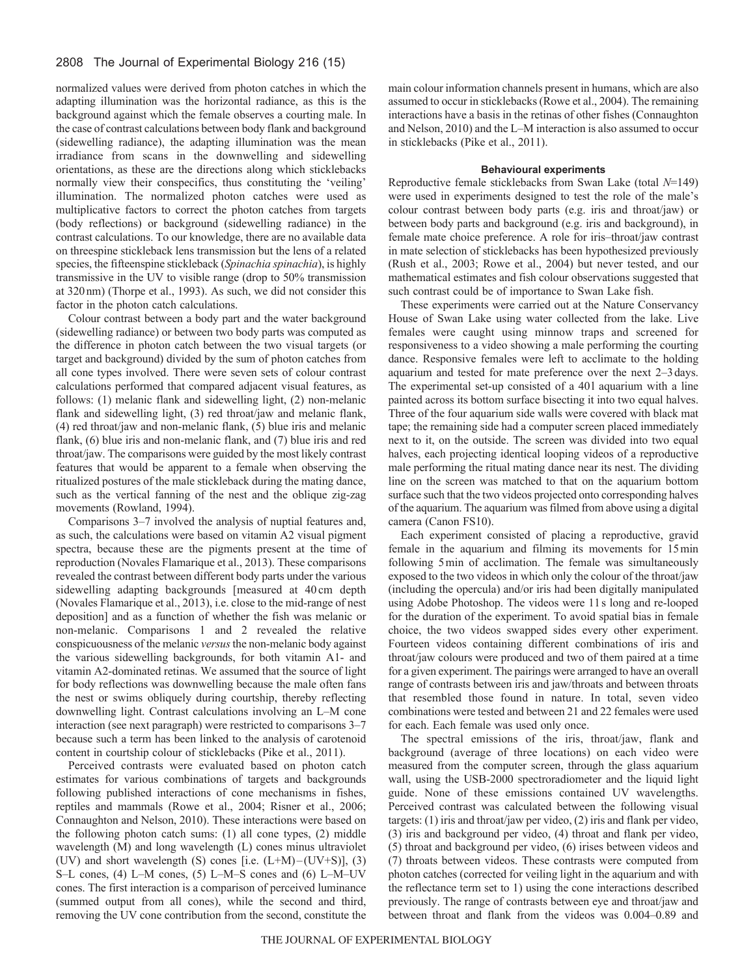normalized values were derived from photon catches in which the adapting illumination was the horizontal radiance, as this is the background against which the female observes a courting male. In the case of contrast calculations between body flank and background (sidewelling radiance), the adapting illumination was the mean irradiance from scans in the downwelling and sidewelling orientations, as these are the directions along which sticklebacks normally view their conspecifics, thus constituting the 'veiling' illumination. The normalized photon catches were used as multiplicative factors to correct the photon catches from targets (body reflections) or background (sidewelling radiance) in the contrast calculations. To our knowledge, there are no available data on threespine stickleback lens transmission but the lens of a related species, the fifteenspine stickleback (*Spinachia spinachia*), is highly transmissive in the UV to visible range (drop to 50% transmission at 320nm) (Thorpe et al., 1993). As such, we did not consider this factor in the photon catch calculations.

Colour contrast between a body part and the water background (sidewelling radiance) or between two body parts was computed as the difference in photon catch between the two visual targets (or target and background) divided by the sum of photon catches from all cone types involved. There were seven sets of colour contrast calculations performed that compared adjacent visual features, as follows: (1) melanic flank and sidewelling light, (2) non-melanic flank and sidewelling light, (3) red throat/jaw and melanic flank, (4) red throat/jaw and non-melanic flank, (5) blue iris and melanic flank, (6) blue iris and non-melanic flank, and (7) blue iris and red throat/jaw. The comparisons were guided by the most likely contrast features that would be apparent to a female when observing the ritualized postures of the male stickleback during the mating dance, such as the vertical fanning of the nest and the oblique zig-zag movements (Rowland, 1994).

Comparisons 3–7 involved the analysis of nuptial features and, as such, the calculations were based on vitamin A2 visual pigment spectra, because these are the pigments present at the time of reproduction (Novales Flamarique et al., 2013). These comparisons revealed the contrast between different body parts under the various sidewelling adapting backgrounds [measured at 40 cm depth (Novales Flamarique et al., 2013), i.e. close to the mid-range of nest deposition] and as a function of whether the fish was melanic or non-melanic. Comparisons 1 and 2 revealed the relative conspicuousness of the melanic *versus*the non-melanic body against the various sidewelling backgrounds, for both vitamin A1- and vitamin A2-dominated retinas. We assumed that the source of light for body reflections was downwelling because the male often fans the nest or swims obliquely during courtship, thereby reflecting downwelling light. Contrast calculations involving an L–M cone interaction (see next paragraph) were restricted to comparisons 3–7 because such a term has been linked to the analysis of carotenoid content in courtship colour of sticklebacks (Pike et al., 2011).

Perceived contrasts were evaluated based on photon catch estimates for various combinations of targets and backgrounds following published interactions of cone mechanisms in fishes, reptiles and mammals (Rowe et al., 2004; Risner et al., 2006; Connaughton and Nelson, 2010). These interactions were based on the following photon catch sums: (1) all cone types, (2) middle wavelength (M) and long wavelength (L) cones minus ultraviolet (UV) and short wavelength (S) cones [i.e.  $(L+M) - (UV+S)$ ], (3) S–L cones, (4) L–M cones, (5) L–M–S cones and (6) L–M–UV cones. The first interaction is a comparison of perceived luminance (summed output from all cones), while the second and third, removing the UV cone contribution from the second, constitute the main colour information channels present in humans, which are also assumed to occur in sticklebacks (Rowe et al., 2004). The remaining interactions have a basis in the retinas of other fishes (Connaughton and Nelson, 2010) and the L–M interaction is also assumed to occur in sticklebacks (Pike et al., 2011).

## **Behavioural experiments**

Reproductive female sticklebacks from Swan Lake (total *N*=149) were used in experiments designed to test the role of the male's colour contrast between body parts (e.g. iris and throat/jaw) or between body parts and background (e.g. iris and background), in female mate choice preference. A role for iris–throat/jaw contrast in mate selection of sticklebacks has been hypothesized previously (Rush et al., 2003; Rowe et al., 2004) but never tested, and our mathematical estimates and fish colour observations suggested that such contrast could be of importance to Swan Lake fish.

These experiments were carried out at the Nature Conservancy House of Swan Lake using water collected from the lake. Live females were caught using minnow traps and screened for responsiveness to a video showing a male performing the courting dance. Responsive females were left to acclimate to the holding aquarium and tested for mate preference over the next 2–3days. The experimental set-up consisted of a 40l aquarium with a line painted across its bottom surface bisecting it into two equal halves. Three of the four aquarium side walls were covered with black mat tape; the remaining side had a computer screen placed immediately next to it, on the outside. The screen was divided into two equal halves, each projecting identical looping videos of a reproductive male performing the ritual mating dance near its nest. The dividing line on the screen was matched to that on the aquarium bottom surface such that the two videos projected onto corresponding halves of the aquarium. The aquarium was filmed from above using a digital camera (Canon FS10).

Each experiment consisted of placing a reproductive, gravid female in the aquarium and filming its movements for 15min following 5min of acclimation. The female was simultaneously exposed to the two videos in which only the colour of the throat/jaw (including the opercula) and/or iris had been digitally manipulated using Adobe Photoshop. The videos were 11s long and re-looped for the duration of the experiment. To avoid spatial bias in female choice, the two videos swapped sides every other experiment. Fourteen videos containing different combinations of iris and throat/jaw colours were produced and two of them paired at a time for a given experiment. The pairings were arranged to have an overall range of contrasts between iris and jaw/throats and between throats that resembled those found in nature. In total, seven video combinations were tested and between 21 and 22 females were used for each. Each female was used only once.

The spectral emissions of the iris, throat/jaw, flank and background (average of three locations) on each video were measured from the computer screen, through the glass aquarium wall, using the USB-2000 spectroradiometer and the liquid light guide. None of these emissions contained UV wavelengths. Perceived contrast was calculated between the following visual targets: (1) iris and throat/jaw per video, (2) iris and flank per video, (3) iris and background per video, (4) throat and flank per video, (5) throat and background per video, (6) irises between videos and (7) throats between videos. These contrasts were computed from photon catches (corrected for veiling light in the aquarium and with the reflectance term set to 1) using the cone interactions described previously. The range of contrasts between eye and throat/jaw and between throat and flank from the videos was 0.004–0.89 and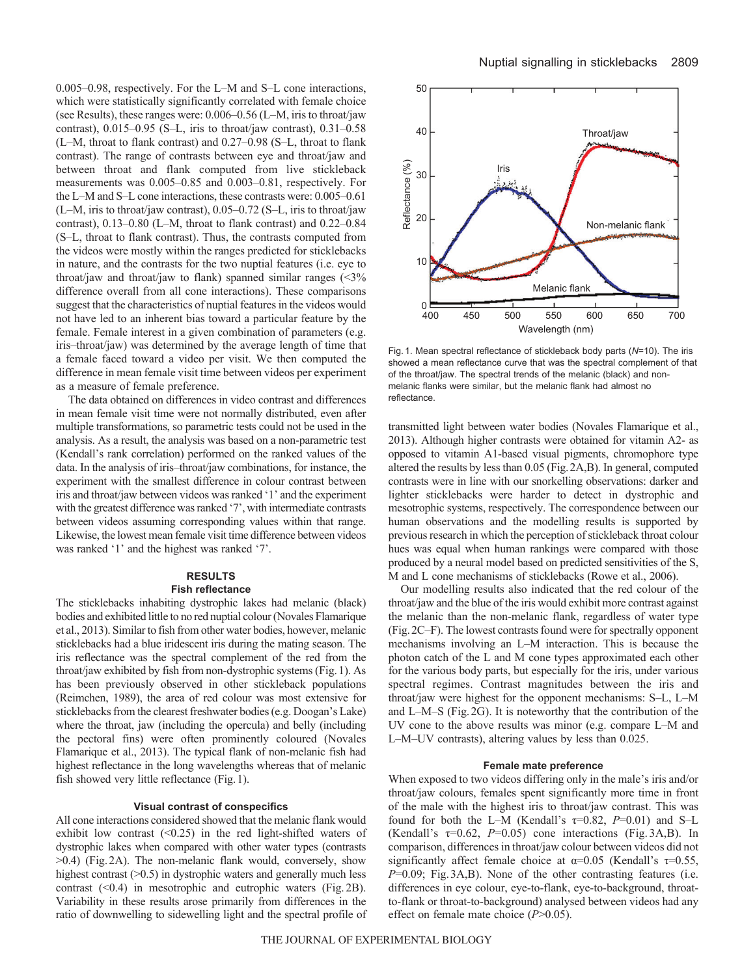0.005–0.98, respectively. For the L–M and S–L cone interactions, which were statistically significantly correlated with female choice (see Results), these ranges were: 0.006–0.56 (L–M, iris to throat/jaw contrast), 0.015–0.95 (S–L, iris to throat/jaw contrast), 0.31–0.58 (L–M, throat to flank contrast) and 0.27–0.98 (S–L, throat to flank contrast). The range of contrasts between eye and throat/jaw and between throat and flank computed from live stickleback measurements was 0.005–0.85 and 0.003–0.81, respectively. For the L–M and S–L cone interactions, these contrasts were: 0.005–0.61 (L–M, iris to throat/jaw contrast), 0.05–0.72 (S–L, iris to throat/jaw contrast), 0.13–0.80 (L–M, throat to flank contrast) and 0.22–0.84 (S–L, throat to flank contrast). Thus, the contrasts computed from the videos were mostly within the ranges predicted for sticklebacks in nature, and the contrasts for the two nuptial features (i.e. eye to throat/jaw and throat/jaw to flank) spanned similar ranges (<3% difference overall from all cone interactions). These comparisons suggest that the characteristics of nuptial features in the videos would not have led to an inherent bias toward a particular feature by the female. Female interest in a given combination of parameters (e.g. iris–throat/jaw) was determined by the average length of time that a female faced toward a video per visit. We then computed the difference in mean female visit time between videos per experiment as a measure of female preference.

The data obtained on differences in video contrast and differences in mean female visit time were not normally distributed, even after multiple transformations, so parametric tests could not be used in the analysis. As a result, the analysis was based on a non-parametric test (Kendall's rank correlation) performed on the ranked values of the data. In the analysis of iris–throat/jaw combinations, for instance, the experiment with the smallest difference in colour contrast between iris and throat/jaw between videos was ranked '1' and the experiment with the greatest difference was ranked '7', with intermediate contrasts between videos assuming corresponding values within that range. Likewise, the lowest mean female visit time difference between videos was ranked '1' and the highest was ranked '7'.

# **RESULTS**

# **Fish reflectance**

The sticklebacks inhabiting dystrophic lakes had melanic (black) bodies and exhibited little to no red nuptial colour (Novales Flamarique et al., 2013). Similar to fish from other water bodies, however, melanic sticklebacks had a blue iridescent iris during the mating season. The iris reflectance was the spectral complement of the red from the throat/jaw exhibited by fish from non-dystrophic systems (Fig.1). As has been previously observed in other stickleback populations (Reimchen, 1989), the area of red colour was most extensive for sticklebacks from the clearest freshwater bodies (e.g. Doogan's Lake) where the throat, jaw (including the opercula) and belly (including the pectoral fins) were often prominently coloured (Novales Flamarique et al., 2013). The typical flank of non-melanic fish had highest reflectance in the long wavelengths whereas that of melanic fish showed very little reflectance (Fig.1).

## **Visual contrast of conspecifics**

All cone interactions considered showed that the melanic flank would exhibit low contrast (<0.25) in the red light-shifted waters of dystrophic lakes when compared with other water types (contrasts >0.4) (Fig.2A). The non-melanic flank would, conversely, show highest contrast  $(0.5)$  in dystrophic waters and generally much less contrast (<0.4) in mesotrophic and eutrophic waters (Fig. 2B). Variability in these results arose primarily from differences in the ratio of downwelling to sidewelling light and the spectral profile of



Fig. 1. Mean spectral reflectance of stickleback body parts (*N*=10). The iris showed a mean reflectance curve that was the spectral complement of that of the throat/jaw. The spectral trends of the melanic (black) and nonmelanic flanks were similar, but the melanic flank had almost no reflectance.

transmitted light between water bodies (Novales Flamarique et al., 2013). Although higher contrasts were obtained for vitamin A2- as opposed to vitamin A1-based visual pigments, chromophore type altered the results by less than 0.05 (Fig.2A,B). In general, computed contrasts were in line with our snorkelling observations: darker and lighter sticklebacks were harder to detect in dystrophic and mesotrophic systems, respectively. The correspondence between our human observations and the modelling results is supported by previous research in which the perception of stickleback throat colour hues was equal when human rankings were compared with those produced by a neural model based on predicted sensitivities of the S, M and L cone mechanisms of sticklebacks (Rowe et al., 2006).

Our modelling results also indicated that the red colour of the throat/jaw and the blue of the iris would exhibit more contrast against the melanic than the non-melanic flank, regardless of water type (Fig.2C–F). The lowest contrasts found were for spectrally opponent mechanisms involving an L–M interaction. This is because the photon catch of the L and M cone types approximated each other for the various body parts, but especially for the iris, under various spectral regimes. Contrast magnitudes between the iris and throat/jaw were highest for the opponent mechanisms: S–L, L–M and L–M–S (Fig.2G). It is noteworthy that the contribution of the UV cone to the above results was minor (e.g. compare L–M and L–M–UV contrasts), altering values by less than 0.025.

#### **Female mate preference**

When exposed to two videos differing only in the male's iris and/or throat/jaw colours, females spent significantly more time in front of the male with the highest iris to throat/jaw contrast. This was found for both the L–M (Kendall's  $\tau$ =0.82, *P*=0.01) and S–L (Kendall's  $\tau=0.62$ ,  $P=0.05$ ) cone interactions (Fig. 3A,B). In comparison, differences in throat/jaw colour between videos did not significantly affect female choice at  $\alpha$ =0.05 (Kendall's  $\tau$ =0.55, *P*=0.09; Fig.3A,B). None of the other contrasting features (i.e. differences in eye colour, eye-to-flank, eye-to-background, throatto-flank or throat-to-background) analysed between videos had any effect on female mate choice (*P*>0.05).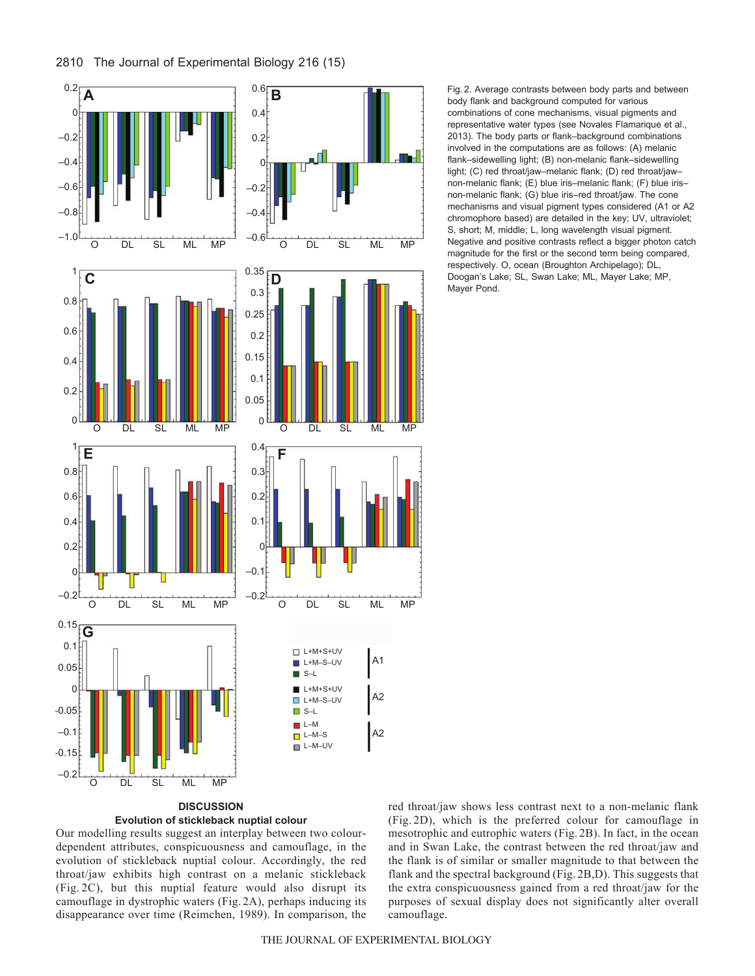



Fig. 2. Average contrasts between body parts and between body flank and background computed for various combinations of cone mechanisms, visual pigments and representative water types (see Novales Flamarique et al., 2013). The body parts or flank–background combinations involved in the computations are as follows: (A) melanic flank–sidewelling light; (B) non-melanic flank–sidewelling light; (C) red throat/jaw–melanic flank; (D) red throat/jaw– non-melanic flank; (E) blue iris–melanic flank; (F) blue iris– non-melanic flank; (G) blue iris–red throat/jaw. The cone mechanisms and visual pigment types considered (A1 or A2 chromophore based) are detailed in the key; UV, ultraviolet; S, short; M, middle; L, long wavelength visual pigment. Negative and positive contrasts reflect a bigger photon catch magnitude for the first or the second term being compared, respectively. O, ocean (Broughton Archipelago); DL, Doogan's Lake; SL, Swan Lake; ML, Mayer Lake; MP, Mayer Pond.



Our modelling results suggest an interplay between two colourdependent attributes, conspicuousness and camouflage, in the evolution of stickleback nuptial colour. Accordingly, the red throat/jaw exhibits high contrast on a melanic stickleback (Fig. 2C), but this nuptial feature would also disrupt its camouflage in dystrophic waters (Fig. 2A), perhaps inducing its disappearance over time (Reimchen, 1989). In comparison, the red throat/jaw shows less contrast next to a non-melanic flank (Fig. 2D), which is the preferred colour for camouflage in mesotrophic and eutrophic waters (Fig. 2B). In fact, in the ocean and in Swan Lake, the contrast between the red throat/jaw and the flank is of similar or smaller magnitude to that between the flank and the spectral background (Fig. 2B,D). This suggests that the extra conspicuousness gained from a red throat/jaw for the purposes of sexual display does not significantly alter overall camouflage.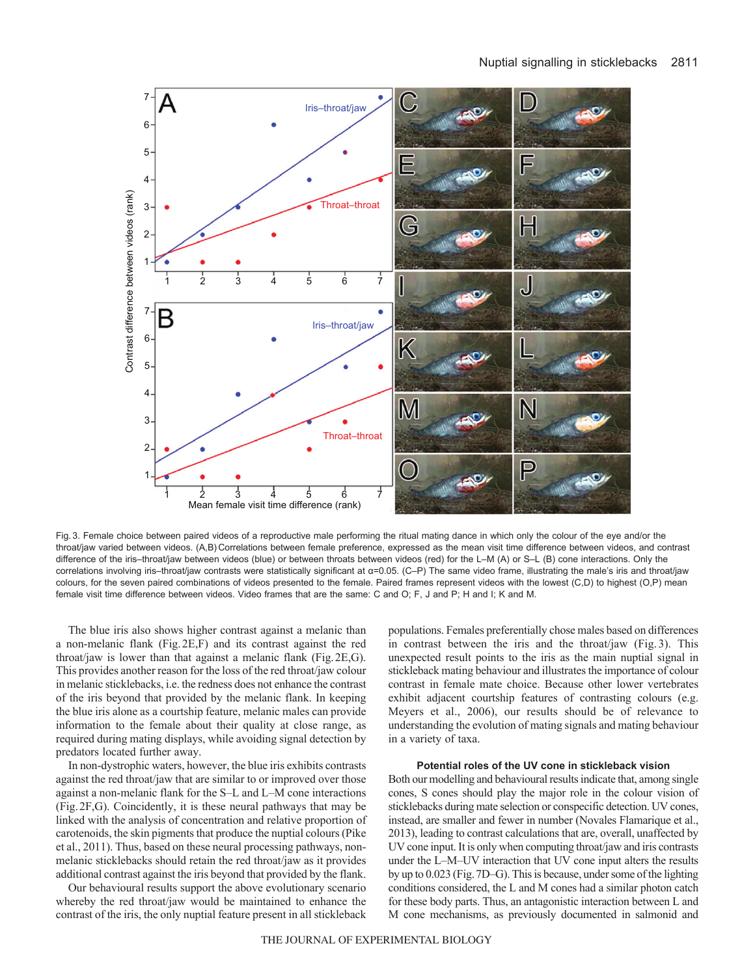

Fig. 3. Female choice between paired videos of a reproductive male performing the ritual mating dance in which only the colour of the eye and/or the throat/jaw varied between videos. (A,B) Correlations between female preference, expressed as the mean visit time difference between videos, and contrast difference of the iris–throat/jaw between videos (blue) or between throats between videos (red) for the L–M (A) or S–L (B) cone interactions. Only the correlations involving iris–throat/jaw contrasts were statistically significant at α=0.05. (C–P) The same video frame, illustrating the male's iris and throat/jaw colours, for the seven paired combinations of videos presented to the female. Paired frames represent videos with the lowest (C,D) to highest (O,P) mean female visit time difference between videos. Video frames that are the same: C and O; F, J and P; H and I; K and M.

The blue iris also shows higher contrast against a melanic than a non-melanic flank (Fig.2E,F) and its contrast against the red throat/jaw is lower than that against a melanic flank (Fig.2E,G). This provides another reason for the loss of the red throat/jaw colour in melanic sticklebacks, i.e. the redness does not enhance the contrast of the iris beyond that provided by the melanic flank. In keeping the blue iris alone as a courtship feature, melanic males can provide information to the female about their quality at close range, as required during mating displays, while avoiding signal detection by predators located further away.

In non-dystrophic waters, however, the blue iris exhibits contrasts against the red throat/jaw that are similar to or improved over those against a non-melanic flank for the S–L and L–M cone interactions (Fig.2F,G). Coincidently, it is these neural pathways that may be linked with the analysis of concentration and relative proportion of carotenoids, the skin pigments that produce the nuptial colours (Pike et al., 2011). Thus, based on these neural processing pathways, nonmelanic sticklebacks should retain the red throat/jaw as it provides additional contrast against the iris beyond that provided by the flank.

Our behavioural results support the above evolutionary scenario whereby the red throat/jaw would be maintained to enhance the contrast of the iris, the only nuptial feature present in all stickleback populations. Females preferentially chose males based on differences in contrast between the iris and the throat/jaw (Fig. 3). This unexpected result points to the iris as the main nuptial signal in stickleback mating behaviour and illustrates the importance of colour contrast in female mate choice. Because other lower vertebrates exhibit adjacent courtship features of contrasting colours (e.g. Meyers et al., 2006), our results should be of relevance to understanding the evolution of mating signals and mating behaviour in a variety of taxa.

## **Potential roles of the UV cone in stickleback vision**

Both our modelling and behavioural results indicate that, among single cones, S cones should play the major role in the colour vision of sticklebacks during mate selection or conspecific detection. UV cones, instead, are smaller and fewer in number (Novales Flamarique et al., 2013), leading to contrast calculations that are, overall, unaffected by UV cone input. It is only when computing throat/jaw and iris contrasts under the L–M–UV interaction that UV cone input alters the results by up to 0.023 (Fig.7D–G). This is because, under some of the lighting conditions considered, the L and M cones had a similar photon catch for these body parts. Thus, an antagonistic interaction between L and M cone mechanisms, as previously documented in salmonid and